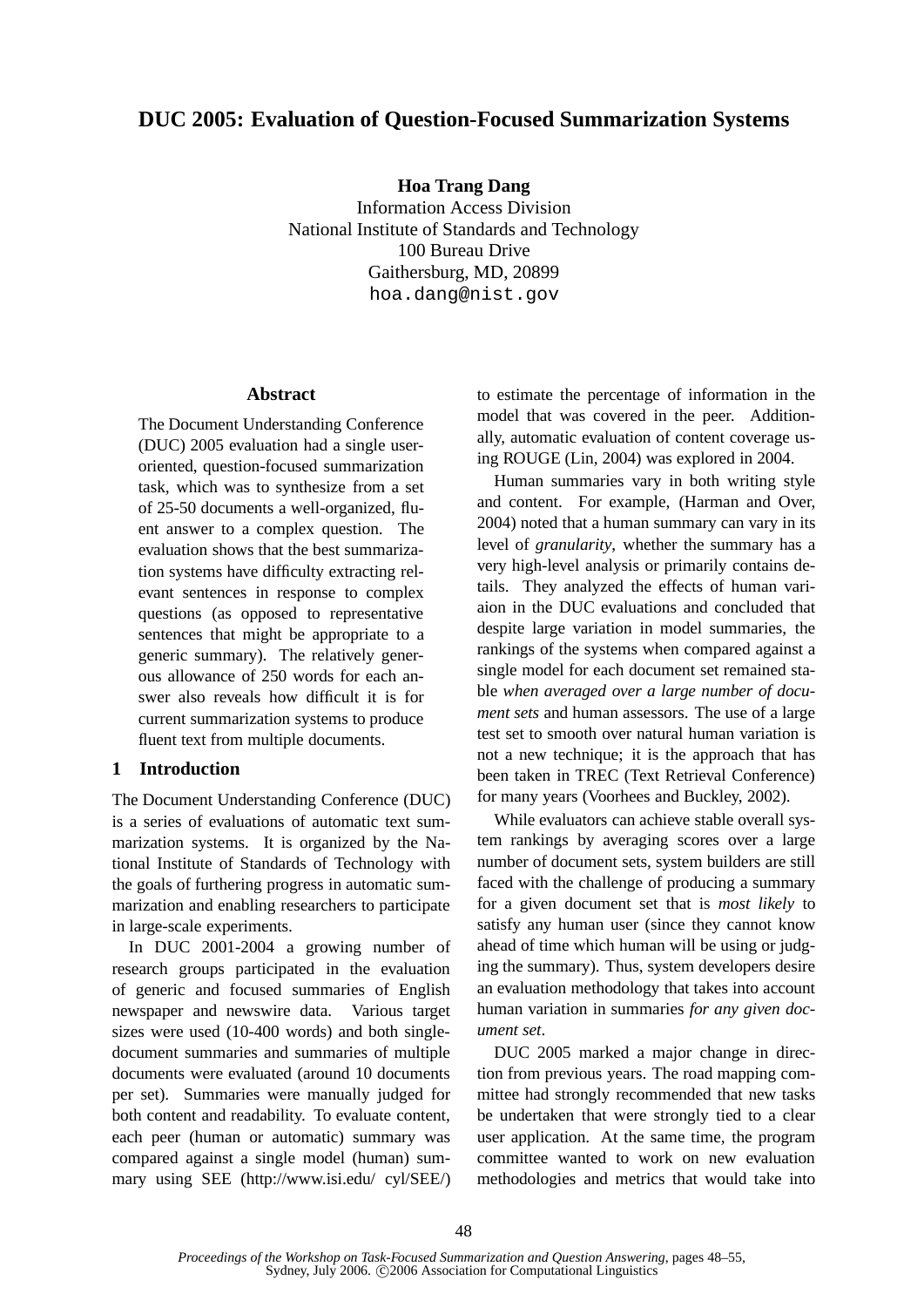# **DUC 2005: Evaluation of Question-Focused Summarization Systems**

**Hoa Trang Dang**

Information Access Division National Institute of Standards and Technology 100 Bureau Drive Gaithersburg, MD, 20899 hoa.dang@nist.gov

#### **Abstract**

The Document Understanding Conference (DUC) 2005 evaluation had a single useroriented, question-focused summarization task, which was to synthesize from a set of 25-50 documents a well-organized, fluent answer to a complex question. The evaluation shows that the best summarization systems have difficulty extracting relevant sentences in response to complex questions (as opposed to representative sentences that might be appropriate to a generic summary). The relatively generous allowance of 250 words for each answer also reveals how difficult it is for current summarization systems to produce fluent text from multiple documents.

## **1 Introduction**

The Document Understanding Conference (DUC) is a series of evaluations of automatic text summarization systems. It is organized by the National Institute of Standards of Technology with the goals of furthering progress in automatic summarization and enabling researchers to participate in large-scale experiments.

In DUC 2001-2004 a growing number of research groups participated in the evaluation of generic and focused summaries of English newspaper and newswire data. Various target sizes were used (10-400 words) and both singledocument summaries and summaries of multiple documents were evaluated (around 10 documents per set). Summaries were manually judged for both content and readability. To evaluate content, each peer (human or automatic) summary was compared against a single model (human) summary using SEE (http://www.isi.edu/ cyl/SEE/) to estimate the percentage of information in the model that was covered in the peer. Additionally, automatic evaluation of content coverage using ROUGE (Lin, 2004) was explored in 2004.

Human summaries vary in both writing style and content. For example, (Harman and Over, 2004) noted that a human summary can vary in its level of *granularity*, whether the summary has a very high-level analysis or primarily contains details. They analyzed the effects of human variaion in the DUC evaluations and concluded that despite large variation in model summaries, the rankings of the systems when compared against a single model for each document set remained stable *when averaged over a large number of document sets* and human assessors. The use of a large test set to smooth over natural human variation is not a new technique; it is the approach that has been taken in TREC (Text Retrieval Conference) for many years (Voorhees and Buckley, 2002).

While evaluators can achieve stable overall system rankings by averaging scores over a large number of document sets, system builders are still faced with the challenge of producing a summary for a given document set that is *most likely* to satisfy any human user (since they cannot know ahead of time which human will be using or judging the summary). Thus, system developers desire an evaluation methodology that takes into account human variation in summaries *for any given document set*.

DUC 2005 marked a major change in direction from previous years. The road mapping committee had strongly recommended that new tasks be undertaken that were strongly tied to a clear user application. At the same time, the program committee wanted to work on new evaluation methodologies and metrics that would take into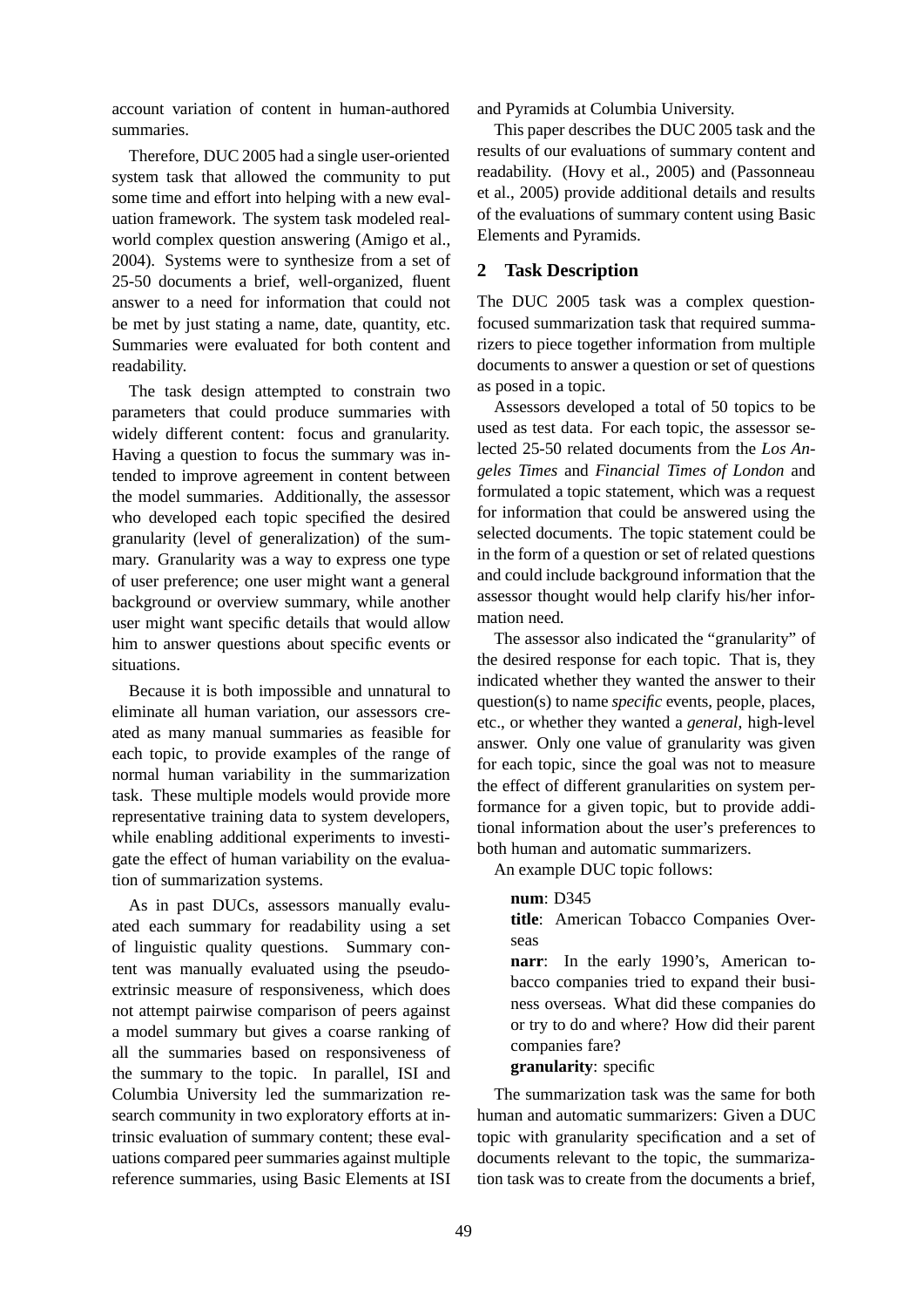account variation of content in human-authored summaries.

Therefore, DUC 2005 had a single user-oriented system task that allowed the community to put some time and effort into helping with a new evaluation framework. The system task modeled realworld complex question answering (Amigo et al., 2004). Systems were to synthesize from a set of 25-50 documents a brief, well-organized, fluent answer to a need for information that could not be met by just stating a name, date, quantity, etc. Summaries were evaluated for both content and readability.

The task design attempted to constrain two parameters that could produce summaries with widely different content: focus and granularity. Having a question to focus the summary was intended to improve agreement in content between the model summaries. Additionally, the assessor who developed each topic specified the desired granularity (level of generalization) of the summary. Granularity was a way to express one type of user preference; one user might want a general background or overview summary, while another user might want specific details that would allow him to answer questions about specific events or situations.

Because it is both impossible and unnatural to eliminate all human variation, our assessors created as many manual summaries as feasible for each topic, to provide examples of the range of normal human variability in the summarization task. These multiple models would provide more representative training data to system developers, while enabling additional experiments to investigate the effect of human variability on the evaluation of summarization systems.

As in past DUCs, assessors manually evaluated each summary for readability using a set of linguistic quality questions. Summary content was manually evaluated using the pseudoextrinsic measure of responsiveness, which does not attempt pairwise comparison of peers against a model summary but gives a coarse ranking of all the summaries based on responsiveness of the summary to the topic. In parallel, ISI and Columbia University led the summarization research community in two exploratory efforts at intrinsic evaluation of summary content; these evaluations compared peer summaries against multiple reference summaries, using Basic Elements at ISI and Pyramids at Columbia University.

This paper describes the DUC 2005 task and the results of our evaluations of summary content and readability. (Hovy et al., 2005) and (Passonneau et al., 2005) provide additional details and results of the evaluations of summary content using Basic Elements and Pyramids.

## **2 Task Description**

The DUC 2005 task was a complex questionfocused summarization task that required summarizers to piece together information from multiple documents to answer a question or set of questions as posed in a topic.

Assessors developed a total of 50 topics to be used as test data. For each topic, the assessor selected 25-50 related documents from the *Los Angeles Times* and *Financial Times of London* and formulated a topic statement, which was a request for information that could be answered using the selected documents. The topic statement could be in the form of a question or set of related questions and could include background information that the assessor thought would help clarify his/her information need.

The assessor also indicated the "granularity" of the desired response for each topic. That is, they indicated whether they wanted the answer to their question(s) to name *specific* events, people, places, etc., or whether they wanted a *general*, high-level answer. Only one value of granularity was given for each topic, since the goal was not to measure the effect of different granularities on system performance for a given topic, but to provide additional information about the user's preferences to both human and automatic summarizers.

An example DUC topic follows:

## **num**: D345

**title**: American Tobacco Companies Overseas

**narr**: In the early 1990's, American tobacco companies tried to expand their business overseas. What did these companies do or try to do and where? How did their parent companies fare?

## **granularity**: specific

The summarization task was the same for both human and automatic summarizers: Given a DUC topic with granularity specification and a set of documents relevant to the topic, the summarization task was to create from the documents a brief,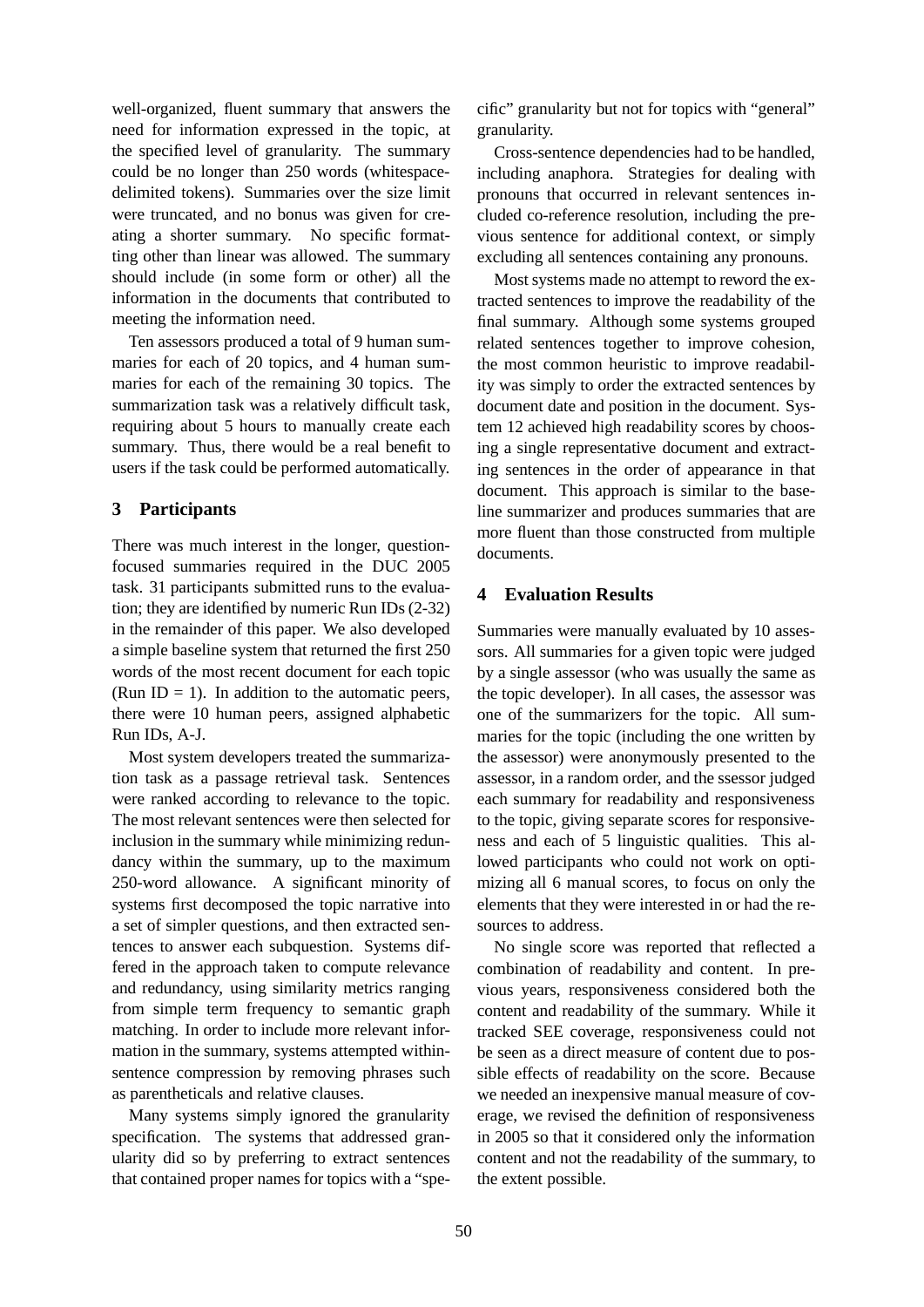well-organized, fluent summary that answers the need for information expressed in the topic, at the specified level of granularity. The summary could be no longer than 250 words (whitespacedelimited tokens). Summaries over the size limit were truncated, and no bonus was given for creating a shorter summary. No specific formatting other than linear was allowed. The summary should include (in some form or other) all the information in the documents that contributed to meeting the information need.

Ten assessors produced a total of 9 human summaries for each of 20 topics, and 4 human summaries for each of the remaining 30 topics. The summarization task was a relatively difficult task, requiring about 5 hours to manually create each summary. Thus, there would be a real benefit to users if the task could be performed automatically.

## **3 Participants**

There was much interest in the longer, questionfocused summaries required in the DUC 2005 task. 31 participants submitted runs to the evaluation; they are identified by numeric Run IDs (2-32) in the remainder of this paper. We also developed a simple baseline system that returned the first 250 words of the most recent document for each topic (Run ID = 1). In addition to the automatic peers, there were 10 human peers, assigned alphabetic Run IDs, A-J.

Most system developers treated the summarization task as a passage retrieval task. Sentences were ranked according to relevance to the topic. The most relevant sentences were then selected for inclusion in the summary while minimizing redundancy within the summary, up to the maximum 250-word allowance. A significant minority of systems first decomposed the topic narrative into a set of simpler questions, and then extracted sentences to answer each subquestion. Systems differed in the approach taken to compute relevance and redundancy, using similarity metrics ranging from simple term frequency to semantic graph matching. In order to include more relevant information in the summary, systems attempted withinsentence compression by removing phrases such as parentheticals and relative clauses.

Many systems simply ignored the granularity specification. The systems that addressed granularity did so by preferring to extract sentences that contained proper names for topics with a "specific" granularity but not for topics with "general" granularity.

Cross-sentence dependencies had to be handled, including anaphora. Strategies for dealing with pronouns that occurred in relevant sentences included co-reference resolution, including the previous sentence for additional context, or simply excluding all sentences containing any pronouns.

Most systems made no attempt to reword the extracted sentences to improve the readability of the final summary. Although some systems grouped related sentences together to improve cohesion, the most common heuristic to improve readability was simply to order the extracted sentences by document date and position in the document. System 12 achieved high readability scores by choosing a single representative document and extracting sentences in the order of appearance in that document. This approach is similar to the baseline summarizer and produces summaries that are more fluent than those constructed from multiple documents.

## **4 Evaluation Results**

Summaries were manually evaluated by 10 assessors. All summaries for a given topic were judged by a single assessor (who was usually the same as the topic developer). In all cases, the assessor was one of the summarizers for the topic. All summaries for the topic (including the one written by the assessor) were anonymously presented to the assessor, in a random order, and the ssessor judged each summary for readability and responsiveness to the topic, giving separate scores for responsiveness and each of 5 linguistic qualities. This allowed participants who could not work on optimizing all 6 manual scores, to focus on only the elements that they were interested in or had the resources to address.

No single score was reported that reflected a combination of readability and content. In previous years, responsiveness considered both the content and readability of the summary. While it tracked SEE coverage, responsiveness could not be seen as a direct measure of content due to possible effects of readability on the score. Because we needed an inexpensive manual measure of coverage, we revised the definition of responsiveness in 2005 so that it considered only the information content and not the readability of the summary, to the extent possible.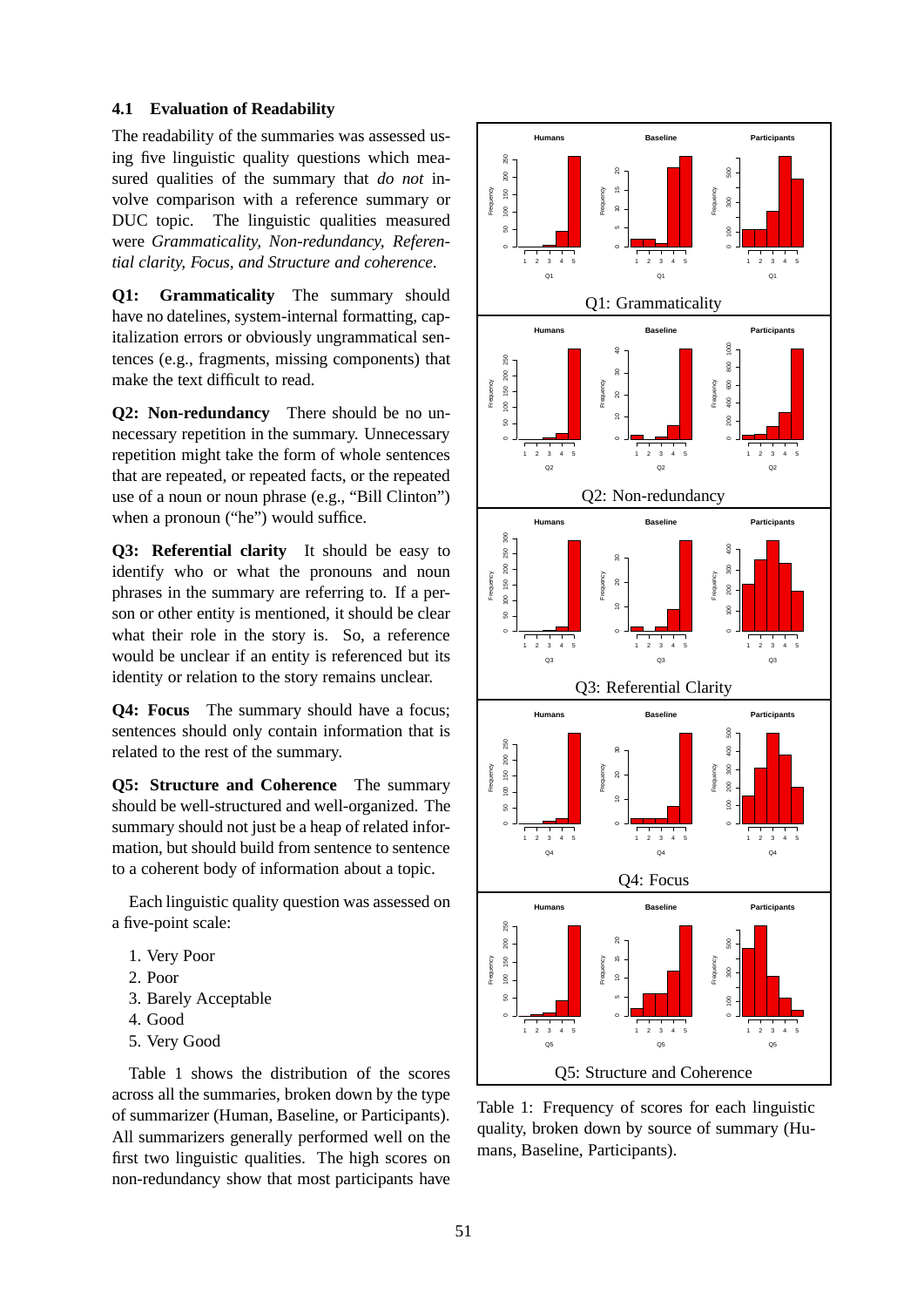### **4.1 Evaluation of Readability**

The readability of the summaries was assessed using five linguistic quality questions which measured qualities of the summary that *do not* involve comparison with a reference summary or DUC topic. The linguistic qualities measured were *Grammaticality, Non-redundancy, Referential clarity, Focus, and Structure and coherence*.

**Q1: Grammaticality** The summary should have no datelines, system-internal formatting, capitalization errors or obviously ungrammatical sentences (e.g., fragments, missing components) that make the text difficult to read.

**Q2: Non-redundancy** There should be no unnecessary repetition in the summary. Unnecessary repetition might take the form of whole sentences that are repeated, or repeated facts, or the repeated use of a noun or noun phrase (e.g., "Bill Clinton") when a pronoun ("he") would suffice.

**Q3: Referential clarity** It should be easy to identify who or what the pronouns and noun phrases in the summary are referring to. If a person or other entity is mentioned, it should be clear what their role in the story is. So, a reference would be unclear if an entity is referenced but its identity or relation to the story remains unclear.

**Q4: Focus** The summary should have a focus; sentences should only contain information that is related to the rest of the summary.

**Q5: Structure and Coherence** The summary should be well-structured and well-organized. The summary should not just be a heap of related information, but should build from sentence to sentence to a coherent body of information about a topic.

Each linguistic quality question was assessed on a five-point scale:

- 1. Very Poor
- 2. Poor
- 3. Barely Acceptable
- 4. Good
- 5. Very Good

Table 1 shows the distribution of the scores across all the summaries, broken down by the type of summarizer (Human, Baseline, or Participants). All summarizers generally performed well on the first two linguistic qualities. The high scores on non-redundancy show that most participants have



Table 1: Frequency of scores for each linguistic quality, broken down by source of summary (Humans, Baseline, Participants).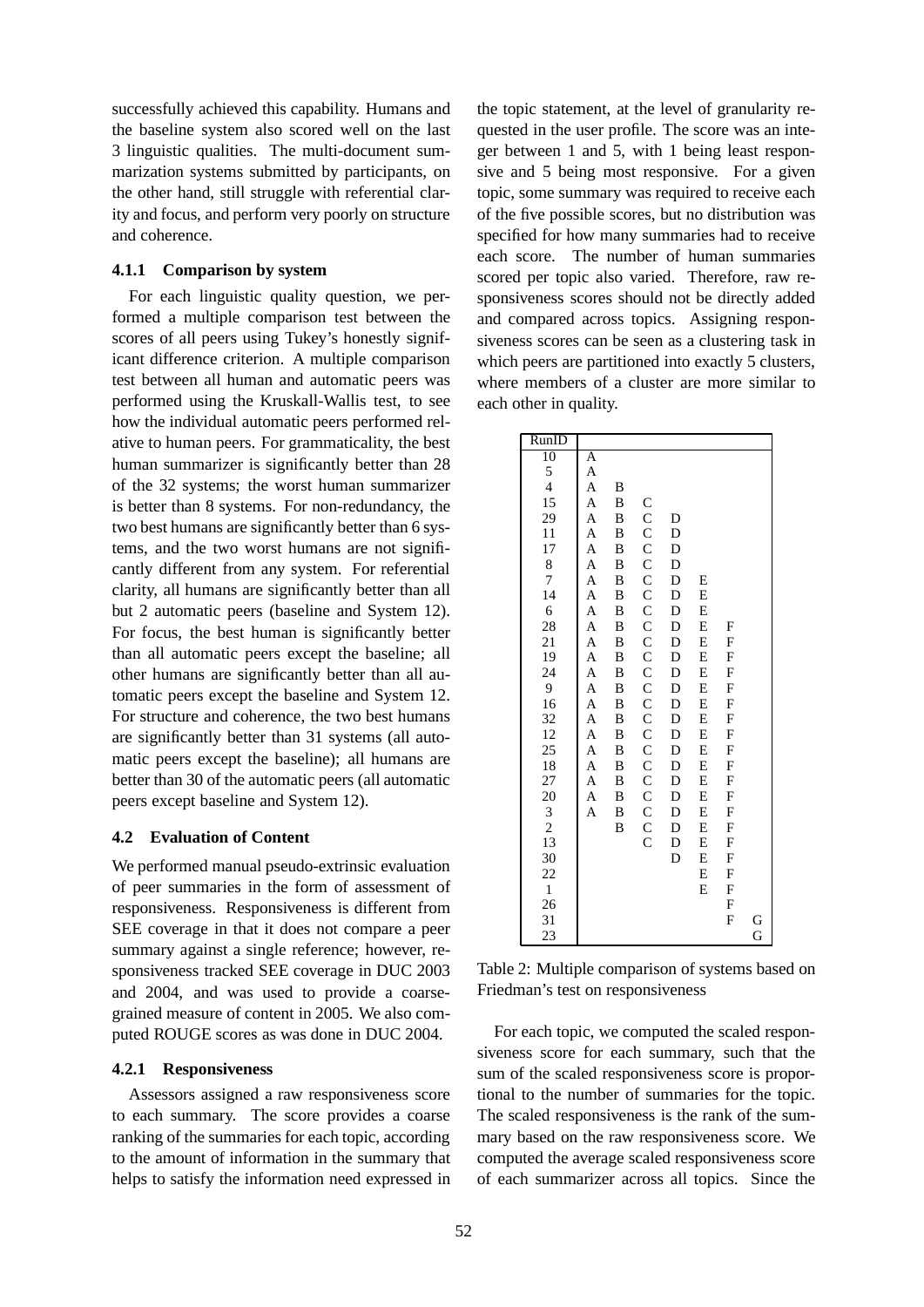successfully achieved this capability. Humans and the baseline system also scored well on the last 3 linguistic qualities. The multi-document summarization systems submitted by participants, on the other hand, still struggle with referential clarity and focus, and perform very poorly on structure and coherence.

### **4.1.1 Comparison by system**

For each linguistic quality question, we performed a multiple comparison test between the scores of all peers using Tukey's honestly significant difference criterion. A multiple comparison test between all human and automatic peers was performed using the Kruskall-Wallis test, to see how the individual automatic peers performed relative to human peers. For grammaticality, the best human summarizer is significantly better than 28 of the 32 systems; the worst human summarizer is better than 8 systems. For non-redundancy, the two best humans are significantly better than 6 systems, and the two worst humans are not significantly different from any system. For referential clarity, all humans are significantly better than all but 2 automatic peers (baseline and System 12). For focus, the best human is significantly better than all automatic peers except the baseline; all other humans are significantly better than all automatic peers except the baseline and System 12. For structure and coherence, the two best humans are significantly better than 31 systems (all automatic peers except the baseline); all humans are better than 30 of the automatic peers (all automatic peers except baseline and System 12).

#### **4.2 Evaluation of Content**

We performed manual pseudo-extrinsic evaluation of peer summaries in the form of assessment of responsiveness. Responsiveness is different from SEE coverage in that it does not compare a peer summary against a single reference; however, responsiveness tracked SEE coverage in DUC 2003 and 2004, and was used to provide a coarsegrained measure of content in 2005. We also computed ROUGE scores as was done in DUC 2004.

#### **4.2.1 Responsiveness**

Assessors assigned a raw responsiveness score to each summary. The score provides a coarse ranking of the summaries for each topic, according to the amount of information in the summary that helps to satisfy the information need expressed in the topic statement, at the level of granularity requested in the user profile. The score was an integer between 1 and 5, with 1 being least responsive and 5 being most responsive. For a given topic, some summary was required to receive each of the five possible scores, but no distribution was specified for how many summaries had to receive each score. The number of human summaries scored per topic also varied. Therefore, raw responsiveness scores should not be directly added and compared across topics. Assigning responsiveness scores can be seen as a clustering task in which peers are partitioned into exactly 5 clusters. where members of a cluster are more similar to each other in quality.

| RunID          |             |          |                    |   |   |   |   |
|----------------|-------------|----------|--------------------|---|---|---|---|
| 10             | A           |          |                    |   |   |   |   |
| 5              | A           |          |                    |   |   |   |   |
| $\overline{4}$ | A           | B        |                    |   |   |   |   |
| 15             | A           | B        | C                  |   |   |   |   |
| 29             | A           | B        | $\mathsf{C}$       | D |   |   |   |
| 11             | A           | B        | $\mathbf C$        | D |   |   |   |
| 17             | A           | B        | $\mathbf C$        | D |   |   |   |
| 8              | A           | B        | $\mathbf{C}$       | D |   |   |   |
| $\overline{7}$ | A           | B        | $\mathbf C$        | D | E |   |   |
| 14             | A           | B        | $\mathbf C$        | D | E |   |   |
| 6              | A           | B        | $\overline{C}$     | D | E |   |   |
| 28             | A           | B        | $\overline{C}$     | D | E | F |   |
| 21             | A           | B        |                    | D | E | F |   |
| 19             | A           | B        | $\mathsf{C}$       | D | E | F |   |
| 24             | $\mathbf A$ | $\bf{B}$ | $\mathsf{C}$       | D | E | F |   |
| 9              | A           | B        | $\mathbf C$        | D | E | F |   |
| 16             | A           | B        | $\mathbf{C}$       | D | E | F |   |
| 32             | A           | B        | $\mathbf C$        | D | E | F |   |
| 12             | A           | B        | $\mathbf C$        | D | E | F |   |
| 25             | A           | B        | $\mathsf{C}$       | D | E | F |   |
| 18             | A           | B        | $\overline{C}$     | D | E | F |   |
| 27             | A           | $\bf{B}$ | $\overline{C}$     | D | E | F |   |
| 20             | A           | B        | $\overline{C}$     | D | E | F |   |
| 3              | A           | B        | $\mathbf C$        | D | E | F |   |
| $\overline{c}$ |             | B        | $\overline{C}$     | D | E | F |   |
| 13             |             |          | $\overline{\rm C}$ | D | E | F |   |
| 30             |             |          |                    | D | E | F |   |
| 22             |             |          |                    |   | E | F |   |
| $\mathbf{1}$   |             |          |                    |   | E | F |   |
| 26             |             |          |                    |   |   | F |   |
| 31             |             |          |                    |   |   | F | G |
| 23             |             |          |                    |   |   |   | Ġ |

Table 2: Multiple comparison of systems based on Friedman's test on responsiveness

For each topic, we computed the scaled responsiveness score for each summary, such that the sum of the scaled responsiveness score is proportional to the number of summaries for the topic. The scaled responsiveness is the rank of the summary based on the raw responsiveness score. We computed the average scaled responsiveness score of each summarizer across all topics. Since the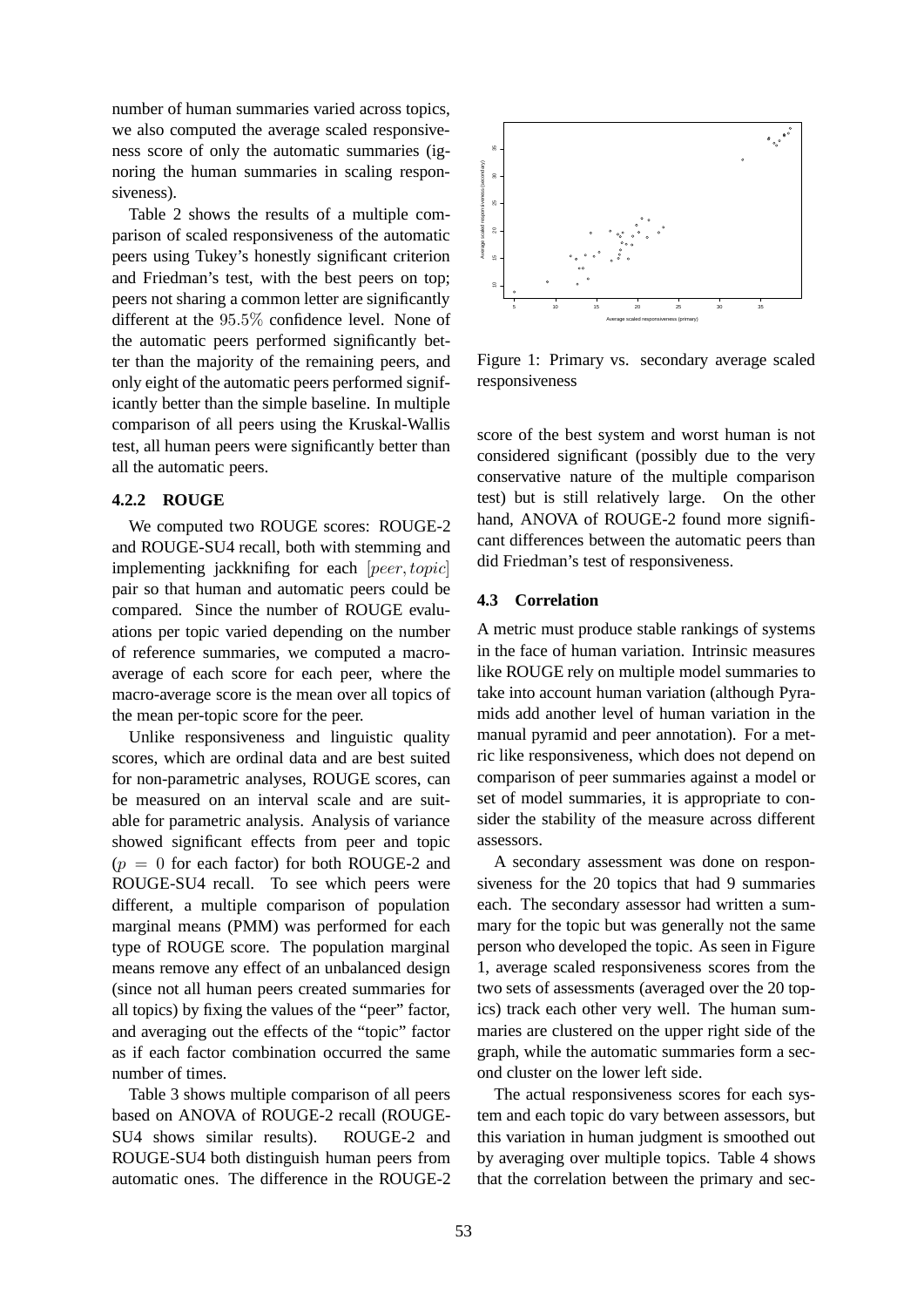number of human summaries varied across topics, we also computed the average scaled responsiveness score of only the automatic summaries (ignoring the human summaries in scaling responsiveness).

Table 2 shows the results of a multiple comparison of scaled responsiveness of the automatic peers using Tukey's honestly significant criterion and Friedman's test, with the best peers on top; peers not sharing a common letter are significantly different at the 95.5% confidence level. None of the automatic peers performed significantly better than the majority of the remaining peers, and only eight of the automatic peers performed significantly better than the simple baseline. In multiple comparison of all peers using the Kruskal-Wallis test, all human peers were significantly better than all the automatic peers.

#### **4.2.2 ROUGE**

We computed two ROUGE scores: ROUGE-2 and ROUGE-SU4 recall, both with stemming and implementing jackknifing for each [peer, topic] pair so that human and automatic peers could be compared. Since the number of ROUGE evaluations per topic varied depending on the number of reference summaries, we computed a macroaverage of each score for each peer, where the macro-average score is the mean over all topics of the mean per-topic score for the peer.

Unlike responsiveness and linguistic quality scores, which are ordinal data and are best suited for non-parametric analyses, ROUGE scores, can be measured on an interval scale and are suitable for parametric analysis. Analysis of variance showed significant effects from peer and topic  $(p = 0$  for each factor) for both ROUGE-2 and ROUGE-SU4 recall. To see which peers were different, a multiple comparison of population marginal means (PMM) was performed for each type of ROUGE score. The population marginal means remove any effect of an unbalanced design (since not all human peers created summaries for all topics) by fixing the values of the "peer" factor, and averaging out the effects of the "topic" factor as if each factor combination occurred the same number of times.

Table 3 shows multiple comparison of all peers based on ANOVA of ROUGE-2 recall (ROUGE-SU4 shows similar results). ROUGE-2 and ROUGE-SU4 both distinguish human peers from automatic ones. The difference in the ROUGE-2



Figure 1: Primary vs. secondary average scaled responsiveness

score of the best system and worst human is not considered significant (possibly due to the very conservative nature of the multiple comparison test) but is still relatively large. On the other hand, ANOVA of ROUGE-2 found more significant differences between the automatic peers than did Friedman's test of responsiveness.

#### **4.3 Correlation**

A metric must produce stable rankings of systems in the face of human variation. Intrinsic measures like ROUGE rely on multiple model summaries to take into account human variation (although Pyramids add another level of human variation in the manual pyramid and peer annotation). For a metric like responsiveness, which does not depend on comparison of peer summaries against a model or set of model summaries, it is appropriate to consider the stability of the measure across different assessors.

A secondary assessment was done on responsiveness for the 20 topics that had 9 summaries each. The secondary assessor had written a summary for the topic but was generally not the same person who developed the topic. As seen in Figure 1, average scaled responsiveness scores from the two sets of assessments (averaged over the 20 topics) track each other very well. The human summaries are clustered on the upper right side of the graph, while the automatic summaries form a second cluster on the lower left side.

The actual responsiveness scores for each system and each topic do vary between assessors, but this variation in human judgment is smoothed out by averaging over multiple topics. Table 4 shows that the correlation between the primary and sec-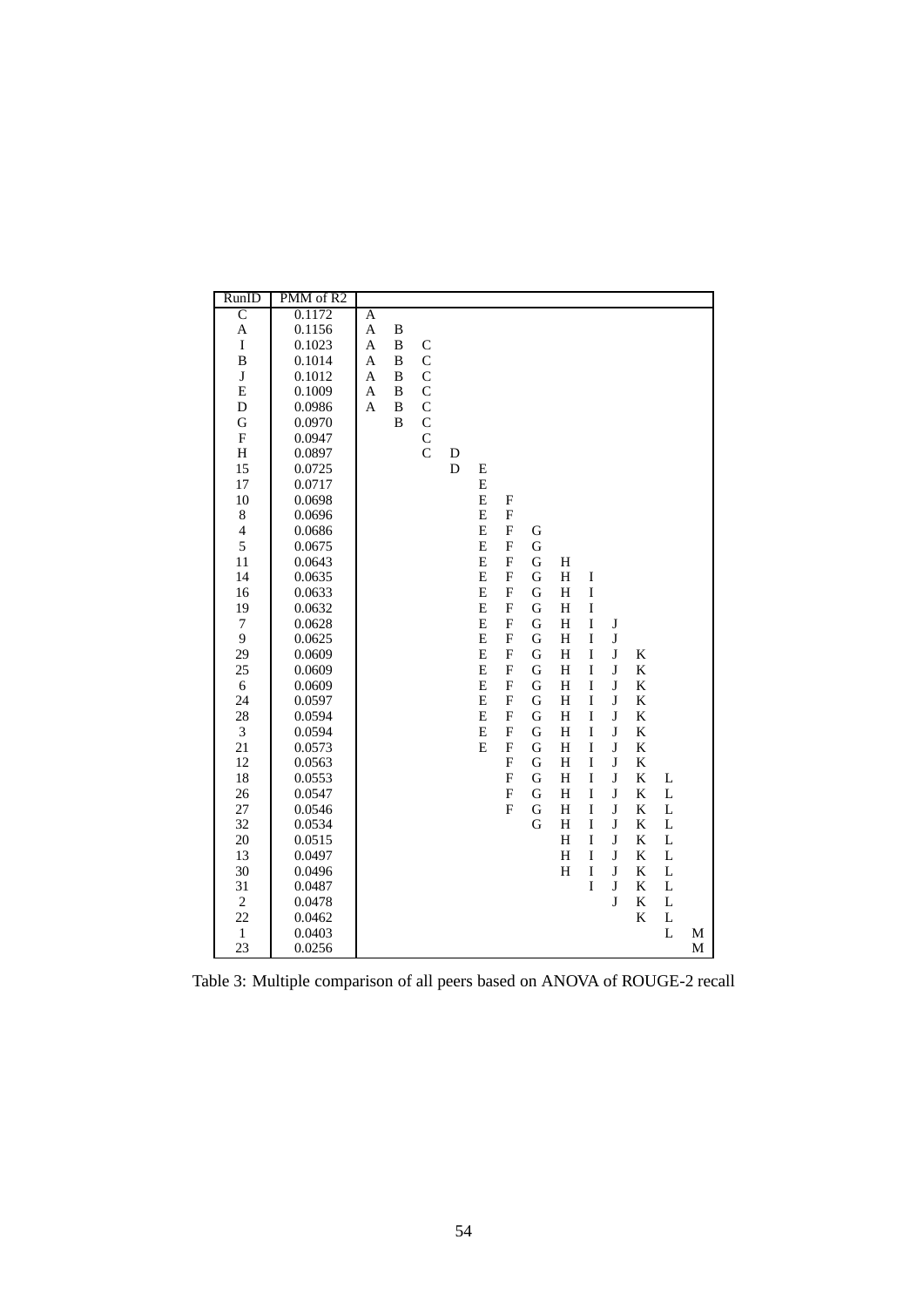| RunID                     | PMM of R2 |                |   |                |   |                |                           |             |                         |             |         |   |   |   |
|---------------------------|-----------|----------------|---|----------------|---|----------------|---------------------------|-------------|-------------------------|-------------|---------|---|---|---|
| $\overline{\rm c}$        | 0.1172    | $\overline{A}$ |   |                |   |                |                           |             |                         |             |         |   |   |   |
| A                         | 0.1156    | $\mathbf{A}$   | B |                |   |                |                           |             |                         |             |         |   |   |   |
| $\mathbf I$               | 0.1023    | A              | B | $\mathcal{C}$  |   |                |                           |             |                         |             |         |   |   |   |
| B                         | 0.1014    | A              | B | $\overline{C}$ |   |                |                           |             |                         |             |         |   |   |   |
| $\bf J$                   | 0.1012    | A              | B | $\mathbf C$    |   |                |                           |             |                         |             |         |   |   |   |
| $\mathbf E$               | 0.1009    | $\mathbf{A}$   | B | $\mathcal{C}$  |   |                |                           |             |                         |             |         |   |   |   |
| D                         | 0.0986    | $\overline{A}$ | B | $\mathcal{C}$  |   |                |                           |             |                         |             |         |   |   |   |
| G                         | 0.0970    |                | B | $\mathsf{C}$   |   |                |                           |             |                         |             |         |   |   |   |
| $\boldsymbol{\mathrm{F}}$ | 0.0947    |                |   | $\mathbf C$    |   |                |                           |             |                         |             |         |   |   |   |
| H                         | 0.0897    |                |   | $\overline{C}$ | D |                |                           |             |                         |             |         |   |   |   |
| 15                        | 0.0725    |                |   |                | D | E              |                           |             |                         |             |         |   |   |   |
| 17                        | 0.0717    |                |   |                |   | E              |                           |             |                         |             |         |   |   |   |
| 10                        | 0.0698    |                |   |                |   | E              | $\mathbf F$               |             |                         |             |         |   |   |   |
| $\,$ 8 $\,$               | 0.0696    |                |   |                |   | E              | F                         |             |                         |             |         |   |   |   |
| $\overline{\mathcal{L}}$  | 0.0686    |                |   |                |   | E              | $\boldsymbol{\mathrm{F}}$ | G           |                         |             |         |   |   |   |
| 5                         | 0.0675    |                |   |                |   | E              | $\overline{\mathrm{F}}$   | $\mathbf G$ |                         |             |         |   |   |   |
| 11                        | 0.0643    |                |   |                |   | E              | $\boldsymbol{\mathrm{F}}$ | $\mathbf G$ | H                       |             |         |   |   |   |
| 14                        | 0.0635    |                |   |                |   | E              | $\boldsymbol{\mathrm{F}}$ | $\mathbf G$ | $\overline{\mathrm{H}}$ | I           |         |   |   |   |
| 16                        | 0.0633    |                |   |                |   | E              | $\boldsymbol{\mathrm{F}}$ | $\mathbf G$ | H                       | $\mathbf I$ |         |   |   |   |
| 19                        | 0.0632    |                |   |                |   | E              | $\boldsymbol{\mathrm{F}}$ | G           | H                       | $\rm I$     |         |   |   |   |
| $\tau$                    | 0.0628    |                |   |                |   | $\overline{E}$ | $\boldsymbol{\mathrm{F}}$ | G           | H                       | $\rm I$     | $\bf J$ |   |   |   |
| 9                         | 0.0625    |                |   |                |   | $\overline{E}$ | $\boldsymbol{\mathrm{F}}$ | $\mathbf G$ | $\overline{\mathrm{H}}$ | I           | $\bf J$ |   |   |   |
| 29                        | 0.0609    |                |   |                |   | E              | $\overline{F}$            | $\mathbf G$ | H                       | I           | J       | K |   |   |
| 25                        | 0.0609    |                |   |                |   | $\overline{E}$ | $\boldsymbol{\mathrm{F}}$ | G           | $\overline{\mathrm{H}}$ | $\rm I$     | $\bf J$ | K |   |   |
| 6                         | 0.0609    |                |   |                |   | E              | $\overline{F}$            | $\mathbf G$ | H                       | I           | J       | K |   |   |
| 24                        | 0.0597    |                |   |                |   | E              | $\overline{F}$            | $\mathbf G$ | H                       | $\rm I$     | J       | K |   |   |
| 28                        | 0.0594    |                |   |                |   | E              | $\overline{F}$            | $\mathbf G$ | H                       | I           | $\bf J$ | K |   |   |
| 3                         | 0.0594    |                |   |                |   | E              | $\boldsymbol{\mathrm{F}}$ | $\mathbf G$ | H                       | I           | J       | K |   |   |
| 21                        | 0.0573    |                |   |                |   | E              | $\boldsymbol{\mathrm{F}}$ | $\mathbf G$ | H                       | I           | $\bf J$ | K |   |   |
| 12                        | 0.0563    |                |   |                |   |                | $\overline{F}$            | G           | H                       | I           | J       | K |   |   |
| 18                        | 0.0553    |                |   |                |   |                | F                         | G           | H                       | I           | $\bf J$ | K | L |   |
| 26                        | 0.0547    |                |   |                |   |                | F                         | G           | H                       | I           | J       | K | L |   |
| 27                        | 0.0546    |                |   |                |   |                | $\overline{F}$            | G           | H                       | I           | J       | K | L |   |
| 32                        | 0.0534    |                |   |                |   |                |                           | G           | H                       | I           | J       | K | L |   |
| 20                        | 0.0515    |                |   |                |   |                |                           |             | H                       | I           | $\bf J$ | K | L |   |
| 13                        | 0.0497    |                |   |                |   |                |                           |             | H                       | I           | J       | K | L |   |
| 30                        | 0.0496    |                |   |                |   |                |                           |             | H                       | I           | J       | K | L |   |
| 31                        | 0.0487    |                |   |                |   |                |                           |             |                         | I           | $\bf J$ | K | L |   |
| $\overline{c}$            | 0.0478    |                |   |                |   |                |                           |             |                         |             | J       | K | L |   |
| 22                        | 0.0462    |                |   |                |   |                |                           |             |                         |             |         | K | L |   |
| $\mathbf{1}$              | 0.0403    |                |   |                |   |                |                           |             |                         |             |         |   | L | M |
| 23                        | 0.0256    |                |   |                |   |                |                           |             |                         |             |         |   |   | M |

Table 3: Multiple comparison of all peers based on ANOVA of ROUGE-2 recall